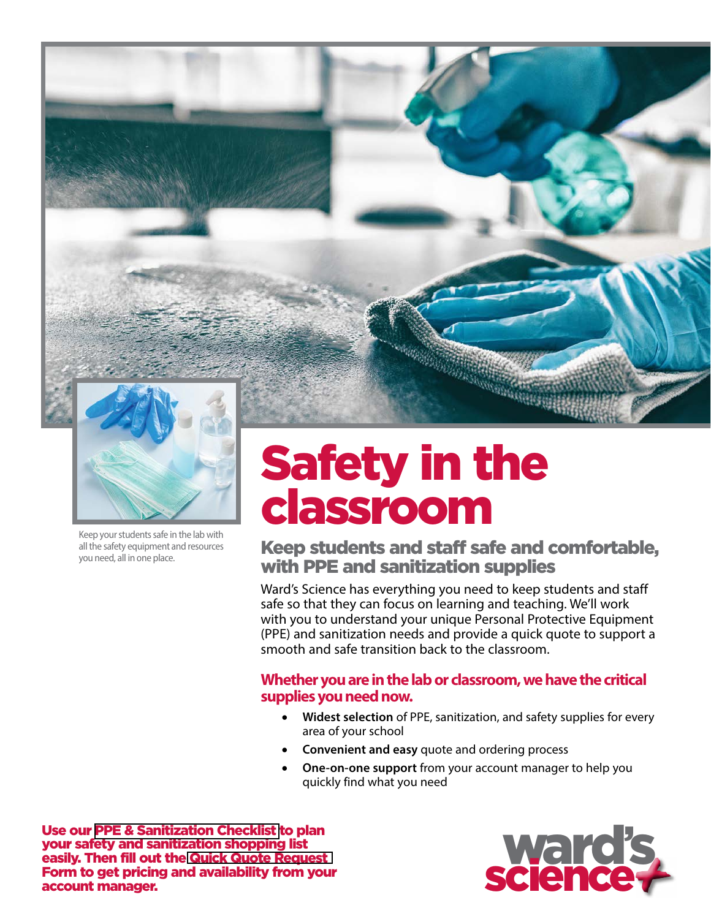



Keep your students safe in the lab with all the safety equipment and resources you need, all in one place.

# Safety in the classroom

Keep students and staff safe and comfortable, with PPE and sanitization supplies

Ward's Science has everything you need to keep students and staff safe so that they can focus on learning and teaching. We'll work with you to understand your unique Personal Protective Equipment (PPE) and sanitization needs and provide a quick quote to support a smooth and safe transition back to the classroom.

### **Whether you are in the lab or classroom, we have the critical supplies you need now.**

- **Widest selection** of PPE, sanitization, and safety supplies for every area of your school
- **Convenient and easy** quote and ordering process
- **One-on-one support** from your account manager to help you quickly find what you need

Use our [PPE & Sanitization Checklist](#page-1-0) to plan your safety and sanitization shopping list easily. Then fill out the [Quick Quote Request](#page-2-0)  Form to get pricing and availability from [your](https://www.wardsci.com/cms/Sales_Support)  [account manager.](https://www.wardsci.com/cms/Sales_Support)

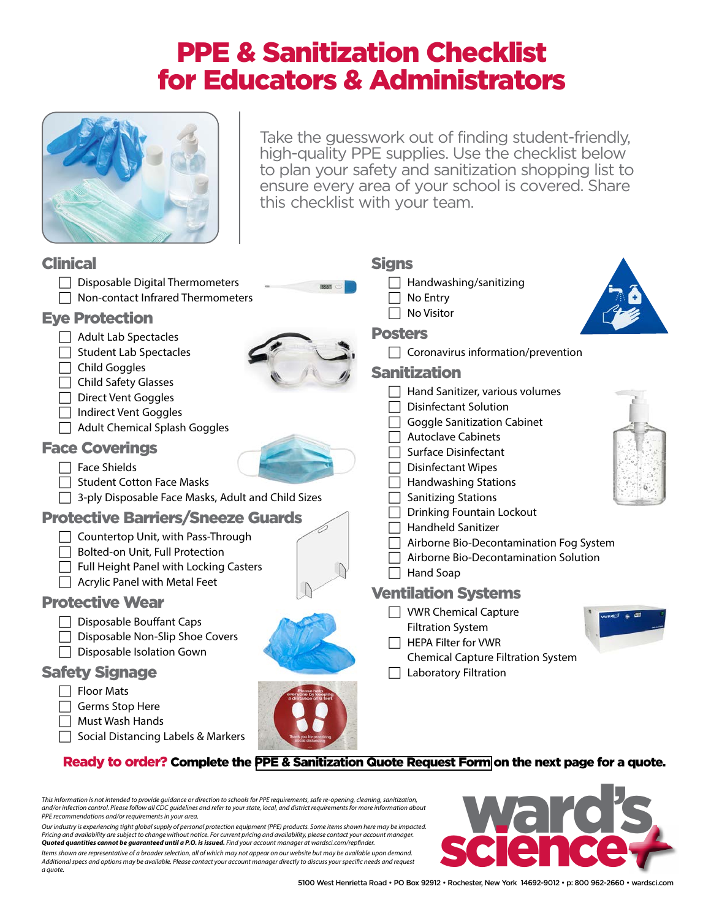### PPE & Sanitization Checklist for Educators & Administrators

<span id="page-1-0"></span>

Take the guesswork out of finding student-friendly, high-quality PPE supplies. Use the checklist below to plan your safety and sanitization shopping list to ensure every area of your school is covered. Share this checklist with your team.

#### Clinical  $\Box$  Disposable Digital Thermometers  $\Box$  Non-contact Infrared Thermometers Eye Protection  $\Box$  Adult Lab Spectacles  $\Box$  Student Lab Spectacles  $\Box$  Child Goggles  $\Box$  Child Safety Glasses  $\Box$  Direct Vent Goggles  $\Box$  Indirect Vent Goggles  $\Box$  Adult Chemical Splash Goggles Face Coverings  $\Box$  Face Shields  $\Box$  Student Cotton Face Masks  $\Box$  3-ply Disposable Face Masks, Adult and Child Sizes Protective Barriers/Sneeze Guards  $\Box$  Countertop Unit, with Pass-Through  $\Box$  Bolted-on Unit, Full Protection  $\Box$  Full Height Panel with Locking Casters  $\Box$  Acrylic Panel with Metal Feet Protective Wear  $\Box$  Disposable Bouffant Caps Disposable Non-Slip Shoe Covers  $\Box$  Disposable Isolation Gown Safety Signage  $\Box$  Floor Mats  $\Box$  Germs Stop Here  $\Box$  Must Wash Hands  $\Box$  Social Distancing Labels & Markers **Sians**  $\Box$  Handwashing/sanitizing  $\Box$  No Entry  $\Box$  No Visitor Posters  $\Box$  Coronavirus information/prevention Sanitization  $\Box$  Hand Sanitizer, various volumes  $\Box$  Disinfectant Solution  $\Box$  Goggle Sanitization Cabinet  $\Box$  Autoclave Cabinets  $\Box$  Surface Disinfectant  $\Box$  Disinfectant Wipes  $\Box$  Handwashing Stations  $\Box$  Sanitizing Stations  $\Box$  Drinking Fountain Lockout  $\Box$  Handheld Sanitizer  $\Box$  Airborne Bio-Decontamination Fog System  $\Box$  Airborne Bio-Decontamination Solution  $\Box$  Hand Soap Ventilation Systems  $\Box$  VWR Chemical Capture Filtration System  $\Box$  HEPA Filter for VWR Chemical Capture Filtration System  $\Box$  Laboratory Filtration

#### Ready to order? Complete the [PPE & Sanitization Quote Request Form](#page-2-0) on the next page for a quote.

*This information is not intended to provide guidance or direction to schools for PPE requirements, safe re-opening, cleaning, sanitization, and/or infection control. Please follow all CDC guidelines and refer to your state, local, and district requirements for more information about PPE recommendations and/or requirements in your area.* 

*Our industry is experiencing tight global supply of personal protection equipment {PPE) products. Some items shown here may be impacted.*  Pricing and availability are subject to change without notice. For current pricing and availability, please contact your account manager.<br>**Quoted quantities cannot be guaranteed until a P.O. is issued.** Find your account m

*Items shown are representative of a broader selection, all of which may not appear on our website but may be available upon demand. Additional specs and options may be available. Please [contact your account manager](https://www.wardsci.com/cms/Sales_Support) directly to discuss your specific needs and request* 

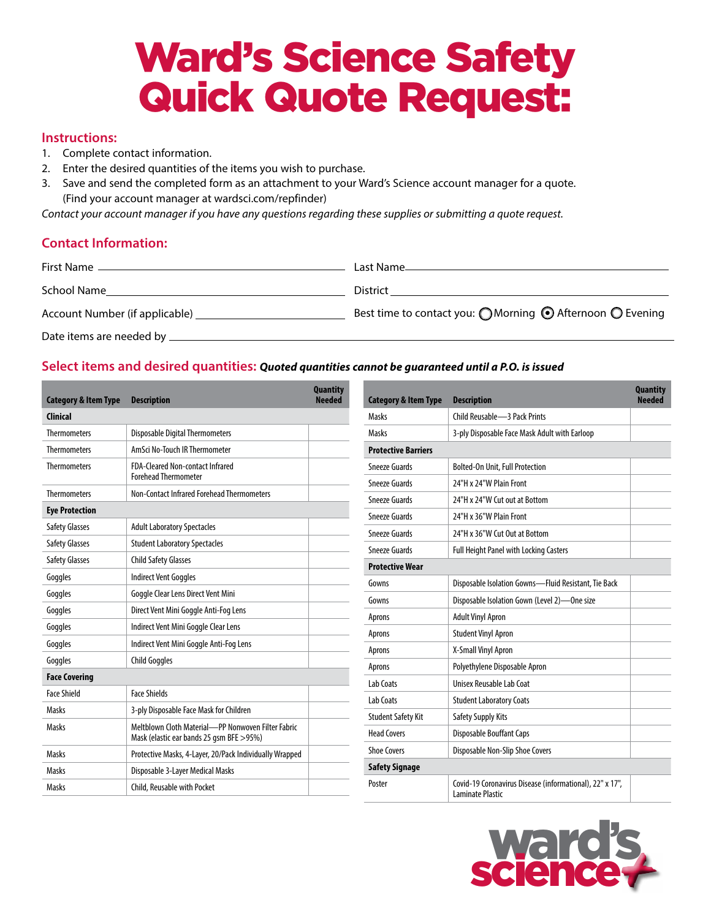## Ward's Science Safety Quick Quote Request:

#### <span id="page-2-0"></span>**Instructions:**

- 1. Complete contact information.
- 2. Enter the desired quantities of the items you wish to purchase.
- 3. Save and send the completed form as an attachment to your Ward's Science account manager for a quote. [\(Find your account manager at wardsci.com/repfinder\)](https://www.wardsci.com/cms/Sales_Support)

*Contact your account manager if you have any questions regarding these supplies or submitting a quote request.* 

#### **Contact Information:**

| First Name                     | Last Name_                                                |
|--------------------------------|-----------------------------------------------------------|
| School Name                    | District                                                  |
| Account Number (if applicable) | Best time to contact you: ◯ Morning ⊙ Afternoon ◯ Evening |
| Date items are needed by __    |                                                           |

#### **Select items and desired quantities:** *Quoted quantities cannot be guaranteed until a P.O. is issued*

| <b>Category &amp; Item Type</b> | <b>Description</b>                                                                              | <b>Quantity</b><br><b>Needed</b> | <b>Category &amp; Item Type</b> | <b>Description</b>                                                           | <b>Quantity</b><br><b>Needed</b> |
|---------------------------------|-------------------------------------------------------------------------------------------------|----------------------------------|---------------------------------|------------------------------------------------------------------------------|----------------------------------|
| <b>Clinical</b>                 |                                                                                                 |                                  | Masks                           | Child Reusable -3 Pack Prints                                                |                                  |
| <b>Thermometers</b>             | <b>Disposable Digital Thermometers</b>                                                          |                                  | Masks                           | 3-ply Disposable Face Mask Adult with Earloop                                |                                  |
| <b>Thermometers</b>             | AmSci No-Touch IR Thermometer                                                                   |                                  | <b>Protective Barriers</b>      |                                                                              |                                  |
| <b>Thermometers</b>             | FDA-Cleared Non-contact Infrared<br><b>Forehead Thermometer</b>                                 |                                  | Sneeze Guards                   | <b>Bolted-On Unit, Full Protection</b>                                       |                                  |
| <b>Thermometers</b>             | Non-Contact Infrared Forehead Thermometers                                                      |                                  | Sneeze Guards                   | 24"H x 24"W Plain Front                                                      |                                  |
|                                 |                                                                                                 |                                  | <b>Sneeze Guards</b>            | 24"H x 24"W Cut out at Bottom                                                |                                  |
| <b>Eye Protection</b>           |                                                                                                 |                                  | Sneeze Guards                   | 24"H x 36"W Plain Front                                                      |                                  |
| <b>Safety Glasses</b>           | <b>Adult Laboratory Spectacles</b>                                                              |                                  | Sneeze Guards                   | 24"H x 36"W Cut Out at Bottom                                                |                                  |
| <b>Safety Glasses</b>           | <b>Student Laboratory Spectacles</b>                                                            |                                  | Sneeze Guards                   | <b>Full Height Panel with Locking Casters</b>                                |                                  |
| Safety Glasses                  | <b>Child Safety Glasses</b>                                                                     |                                  | <b>Protective Wear</b>          |                                                                              |                                  |
| Goggles                         | Indirect Vent Goggles                                                                           |                                  | Gowns                           | Disposable Isolation Gowns-Fluid Resistant, Tie Back                         |                                  |
| Goggles                         | Goggle Clear Lens Direct Vent Mini                                                              |                                  | Gowns                           | Disposable Isolation Gown (Level 2)-One size                                 |                                  |
| Goggles                         | Direct Vent Mini Goggle Anti-Fog Lens                                                           |                                  | Aprons                          | <b>Adult Vinyl Apron</b>                                                     |                                  |
| Goggles                         | Indirect Vent Mini Goggle Clear Lens                                                            |                                  | Aprons                          | <b>Student Vinyl Apron</b>                                                   |                                  |
| Goggles                         | Indirect Vent Mini Goggle Anti-Fog Lens                                                         |                                  | Aprons                          | X-Small Vinyl Apron                                                          |                                  |
| Goggles                         | <b>Child Goggles</b>                                                                            |                                  | Aprons                          | Polyethylene Disposable Apron                                                |                                  |
| <b>Face Covering</b>            |                                                                                                 | Lab Coats                        | Unisex Reusable Lab Coat        |                                                                              |                                  |
| <b>Face Shield</b>              | <b>Face Shields</b>                                                                             |                                  | Lab Coats                       | <b>Student Laboratory Coats</b>                                              |                                  |
| Masks                           | 3-ply Disposable Face Mask for Children                                                         |                                  | <b>Student Safety Kit</b>       |                                                                              |                                  |
| Masks                           | Meltblown Cloth Material-PP Nonwoven Filter Fabric<br>Mask (elastic ear bands 25 gsm BFE > 95%) |                                  | <b>Head Covers</b>              | Safety Supply Kits<br><b>Disposable Bouffant Caps</b>                        |                                  |
| Masks                           | Protective Masks, 4-Layer, 20/Pack Individually Wrapped                                         |                                  | <b>Shoe Covers</b>              | Disposable Non-Slip Shoe Covers                                              |                                  |
| Masks                           | Disposable 3-Layer Medical Masks                                                                |                                  | <b>Safety Signage</b>           |                                                                              |                                  |
| Masks                           | Child, Reusable with Pocket                                                                     |                                  | Poster                          | Covid-19 Coronavirus Disease (informational), 22" x 17",<br>Laminate Plastic |                                  |